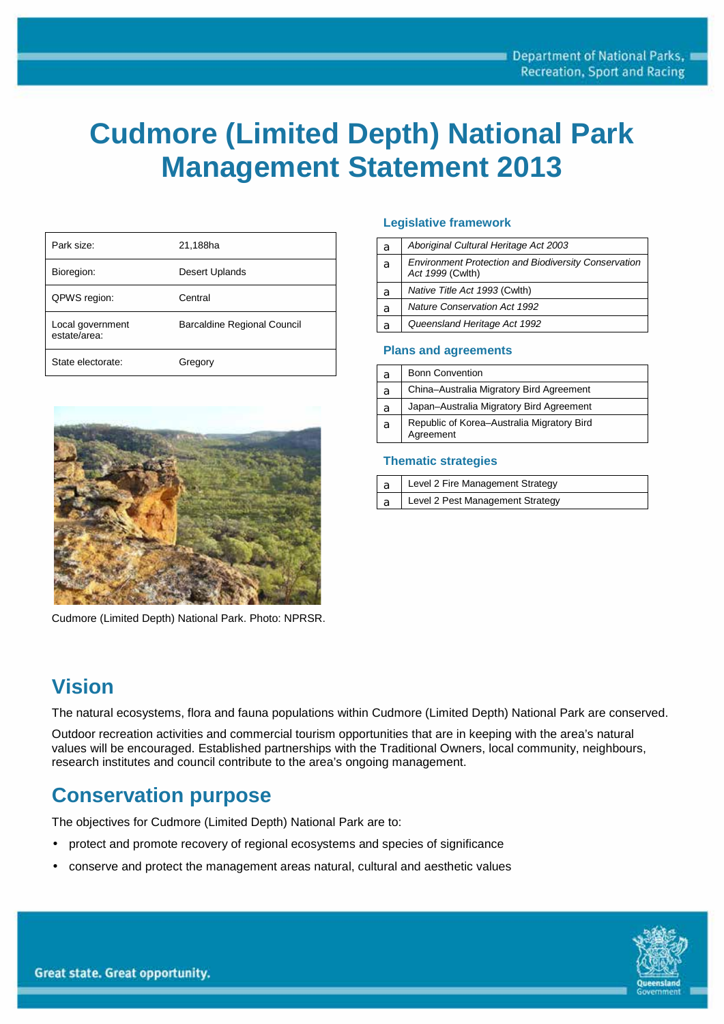# **Cudmore (Limited Depth) National Park Management Statement 2013**

| Park size:                       | 21,188ha                           |
|----------------------------------|------------------------------------|
| Bioregion:                       | Desert Uplands                     |
| QPWS region:                     | Central                            |
| Local government<br>estate/area: | <b>Barcaldine Regional Council</b> |
| State electorate:                | Gregory                            |



Cudmore (Limited Depth) National Park. Photo: NPRSR.

# **Vision**

The natural ecosystems, flora and fauna populations within Cudmore (Limited Depth) National Park are conserved.

Outdoor recreation activities and commercial tourism opportunities that are in keeping with the area's natural values will be encouraged. Established partnerships with the Traditional Owners, local community, neighbours, research institutes and council contribute to the area's ongoing management.

# **Conservation purpose**

The objectives for Cudmore (Limited Depth) National Park are to:

- protect and promote recovery of regional ecosystems and species of significance
- conserve and protect the management areas natural, cultural and aesthetic values

#### **Legislative framework**

| а | Aboriginal Cultural Heritage Act 2003                                           |
|---|---------------------------------------------------------------------------------|
| a | <b>Environment Protection and Biodiversity Conservation</b><br>Act 1999 (Cwlth) |
| a | Native Title Act 1993 (Cwlth)                                                   |
| a | <b>Nature Conservation Act 1992</b>                                             |
| а | Queensland Heritage Act 1992                                                    |

#### **Plans and agreements**

| a | <b>Bonn Convention</b>                                  |
|---|---------------------------------------------------------|
| a | China-Australia Migratory Bird Agreement                |
| а | Japan-Australia Migratory Bird Agreement                |
| a | Republic of Korea-Australia Migratory Bird<br>Agreement |

#### **Thematic strategies**

|     | Level 2 Fire Management Strategy |
|-----|----------------------------------|
| l a | Level 2 Pest Management Strategy |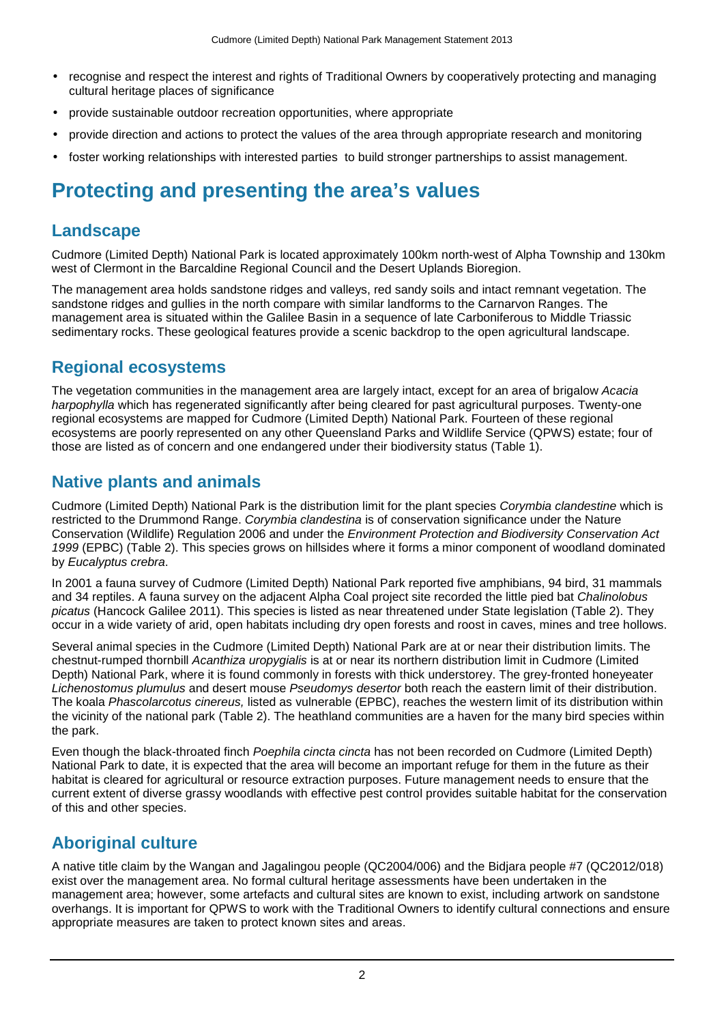- recognise and respect the interest and rights of Traditional Owners by cooperatively protecting and managing cultural heritage places of significance
- provide sustainable outdoor recreation opportunities, where appropriate
- provide direction and actions to protect the values of the area through appropriate research and monitoring
- foster working relationships with interested parties to build stronger partnerships to assist management.

# **Protecting and presenting the area's values**

#### **Landscape**

Cudmore (Limited Depth) National Park is located approximately 100km north-west of Alpha Township and 130km west of Clermont in the Barcaldine Regional Council and the Desert Uplands Bioregion.

The management area holds sandstone ridges and valleys, red sandy soils and intact remnant vegetation. The sandstone ridges and gullies in the north compare with similar landforms to the Carnarvon Ranges. The management area is situated within the Galilee Basin in a sequence of late Carboniferous to Middle Triassic sedimentary rocks. These geological features provide a scenic backdrop to the open agricultural landscape.

## **Regional ecosystems**

The vegetation communities in the management area are largely intact, except for an area of brigalow *Acacia harpophylla* which has regenerated significantly after being cleared for past agricultural purposes. Twenty-one regional ecosystems are mapped for Cudmore (Limited Depth) National Park. Fourteen of these regional ecosystems are poorly represented on any other Queensland Parks and Wildlife Service (QPWS) estate; four of those are listed as of concern and one endangered under their biodiversity status (Table 1).

#### **Native plants and animals**

Cudmore (Limited Depth) National Park is the distribution limit for the plant species *Corymbia clandestine* which is restricted to the Drummond Range. *Corymbia clandestina* is of conservation significance under the Nature Conservation (Wildlife) Regulation 2006 and under the *Environment Protection and Biodiversity Conservation Act 1999* (EPBC) (Table 2). This species grows on hillsides where it forms a minor component of woodland dominated by *Eucalyptus crebra*.

In 2001 a fauna survey of Cudmore (Limited Depth) National Park reported five amphibians, 94 bird, 31 mammals and 34 reptiles. A fauna survey on the adjacent Alpha Coal project site recorded the little pied bat *Chalinolobus picatus* (Hancock Galilee 2011). This species is listed as near threatened under State legislation (Table 2). They occur in a wide variety of arid, open habitats including dry open forests and roost in caves, mines and tree hollows.

Several animal species in the Cudmore (Limited Depth) National Park are at or near their distribution limits. The chestnut-rumped thornbill *Acanthiza uropygialis* is at or near its northern distribution limit in Cudmore (Limited Depth) National Park, where it is found commonly in forests with thick understorey. The grey-fronted honeyeater *Lichenostomus plumulus* and desert mouse *Pseudomys desertor* both reach the eastern limit of their distribution. The koala *Phascolarcotus cinereus,* listed as vulnerable (EPBC), reaches the western limit of its distribution within the vicinity of the national park (Table 2). The heathland communities are a haven for the many bird species within the park.

Even though the black-throated finch *Poephila cincta cincta* has not been recorded on Cudmore (Limited Depth) National Park to date, it is expected that the area will become an important refuge for them in the future as their habitat is cleared for agricultural or resource extraction purposes. Future management needs to ensure that the current extent of diverse grassy woodlands with effective pest control provides suitable habitat for the conservation of this and other species.

## **Aboriginal culture**

A native title claim by the Wangan and Jagalingou people (QC2004/006) and the Bidjara people #7 (QC2012/018) exist over the management area. No formal cultural heritage assessments have been undertaken in the management area; however, some artefacts and cultural sites are known to exist, including artwork on sandstone overhangs. It is important for QPWS to work with the Traditional Owners to identify cultural connections and ensure appropriate measures are taken to protect known sites and areas.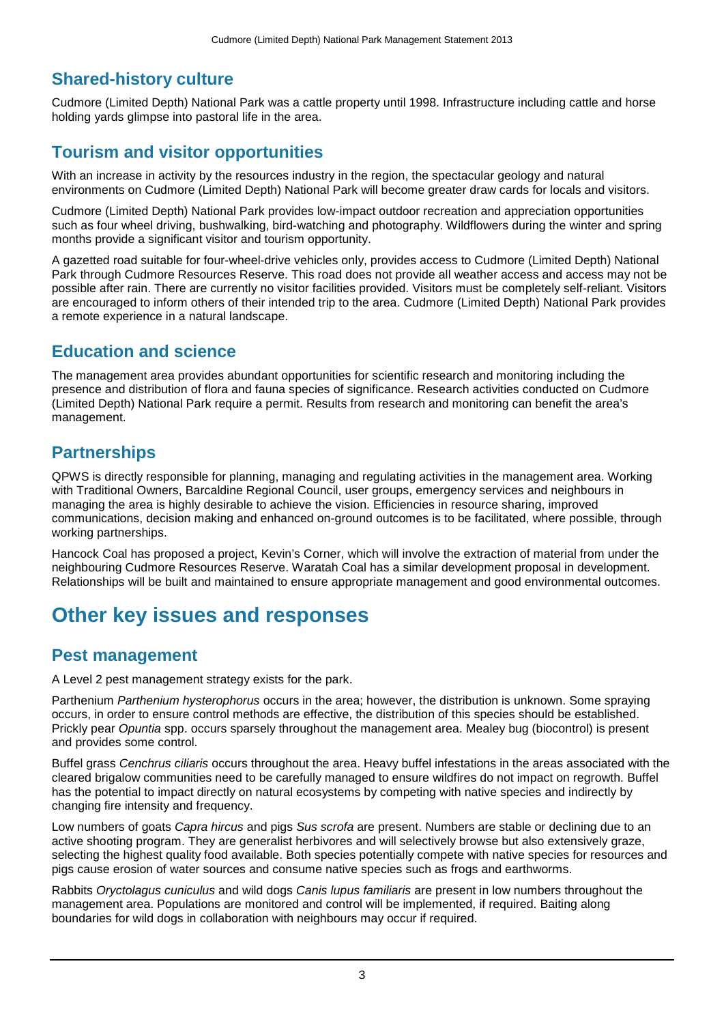#### **Shared-history culture**

Cudmore (Limited Depth) National Park was a cattle property until 1998. Infrastructure including cattle and horse holding yards glimpse into pastoral life in the area.

#### **Tourism and visitor opportunities**

With an increase in activity by the resources industry in the region, the spectacular geology and natural environments on Cudmore (Limited Depth) National Park will become greater draw cards for locals and visitors.

Cudmore (Limited Depth) National Park provides low-impact outdoor recreation and appreciation opportunities such as four wheel driving, bushwalking, bird-watching and photography. Wildflowers during the winter and spring months provide a significant visitor and tourism opportunity.

A gazetted road suitable for four-wheel-drive vehicles only, provides access to Cudmore (Limited Depth) National Park through Cudmore Resources Reserve. This road does not provide all weather access and access may not be possible after rain. There are currently no visitor facilities provided. Visitors must be completely self-reliant. Visitors are encouraged to inform others of their intended trip to the area. Cudmore (Limited Depth) National Park provides a remote experience in a natural landscape.

#### **Education and science**

The management area provides abundant opportunities for scientific research and monitoring including the presence and distribution of flora and fauna species of significance. Research activities conducted on Cudmore (Limited Depth) National Park require a permit. Results from research and monitoring can benefit the area's management.

## **Partnerships**

QPWS is directly responsible for planning, managing and regulating activities in the management area. Working with Traditional Owners, Barcaldine Regional Council, user groups, emergency services and neighbours in managing the area is highly desirable to achieve the vision. Efficiencies in resource sharing, improved communications, decision making and enhanced on-ground outcomes is to be facilitated, where possible, through working partnerships.

Hancock Coal has proposed a project, Kevin's Corner, which will involve the extraction of material from under the neighbouring Cudmore Resources Reserve. Waratah Coal has a similar development proposal in development. Relationships will be built and maintained to ensure appropriate management and good environmental outcomes.

# **Other key issues and responses**

#### **Pest management**

A Level 2 pest management strategy exists for the park.

Parthenium *Parthenium hysterophorus* occurs in the area; however, the distribution is unknown. Some spraying occurs, in order to ensure control methods are effective, the distribution of this species should be established. Prickly pear *Opuntia* spp. occurs sparsely throughout the management area. Mealey bug (biocontrol) is present and provides some control.

Buffel grass *Cenchrus ciliaris* occurs throughout the area. Heavy buffel infestations in the areas associated with the cleared brigalow communities need to be carefully managed to ensure wildfires do not impact on regrowth. Buffel has the potential to impact directly on natural ecosystems by competing with native species and indirectly by changing fire intensity and frequency.

Low numbers of goats *Capra hircus* and pigs *Sus scrofa* are present. Numbers are stable or declining due to an active shooting program. They are generalist herbivores and will selectively browse but also extensively graze, selecting the highest quality food available. Both species potentially compete with native species for resources and pigs cause erosion of water sources and consume native species such as frogs and earthworms.

Rabbits *Oryctolagus cuniculus* and wild dogs *Canis lupus familiaris* are present in low numbers throughout the management area. Populations are monitored and control will be implemented, if required. Baiting along boundaries for wild dogs in collaboration with neighbours may occur if required.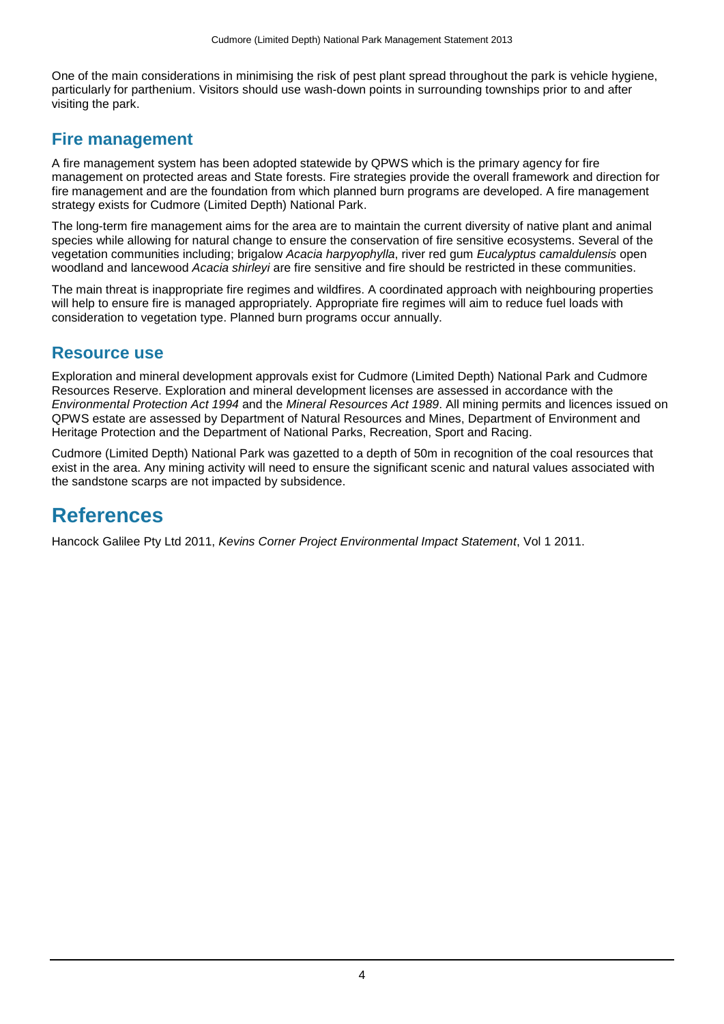One of the main considerations in minimising the risk of pest plant spread throughout the park is vehicle hygiene. particularly for parthenium. Visitors should use wash-down points in surrounding townships prior to and after visiting the park.

#### **Fire management**

A fire management system has been adopted statewide by QPWS which is the primary agency for fire management on protected areas and State forests. Fire strategies provide the overall framework and direction for fire management and are the foundation from which planned burn programs are developed. A fire management strategy exists for Cudmore (Limited Depth) National Park.

The long-term fire management aims for the area are to maintain the current diversity of native plant and animal species while allowing for natural change to ensure the conservation of fire sensitive ecosystems. Several of the vegetation communities including; brigalow *Acacia harpyophylla*, river red gum *Eucalyptus camaldulensis* open woodland and lancewood *Acacia shirleyi* are fire sensitive and fire should be restricted in these communities.

The main threat is inappropriate fire regimes and wildfires. A coordinated approach with neighbouring properties will help to ensure fire is managed appropriately. Appropriate fire regimes will aim to reduce fuel loads with consideration to vegetation type. Planned burn programs occur annually.

#### **Resource use**

Exploration and mineral development approvals exist for Cudmore (Limited Depth) National Park and Cudmore Resources Reserve. Exploration and mineral development licenses are assessed in accordance with the *Environmental Protection Act 1994* and the *Mineral Resources Act 1989*. All mining permits and licences issued on QPWS estate are assessed by Department of Natural Resources and Mines, Department of Environment and Heritage Protection and the Department of National Parks, Recreation, Sport and Racing.

Cudmore (Limited Depth) National Park was gazetted to a depth of 50m in recognition of the coal resources that exist in the area. Any mining activity will need to ensure the significant scenic and natural values associated with the sandstone scarps are not impacted by subsidence.

# **References**

Hancock Galilee Pty Ltd 2011, *Kevins Corner Project Environmental Impact Statement*, Vol 1 2011.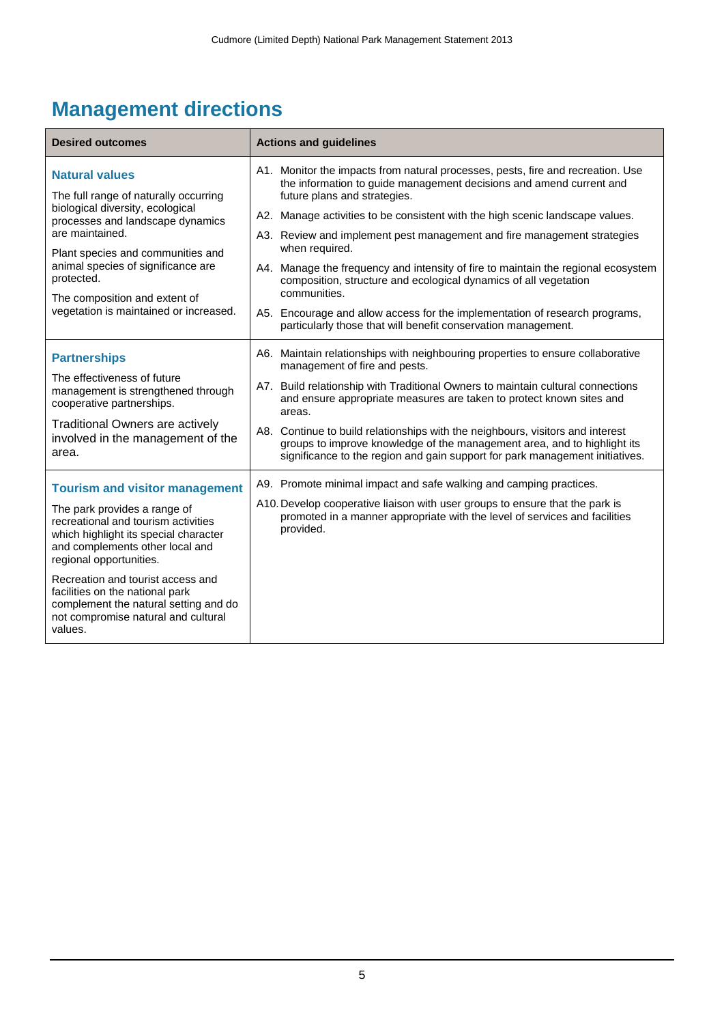# **Management directions**

| <b>Desired outcomes</b>                                                                                                                                                    | <b>Actions and guidelines</b>                                                                                                                                                                                                              |
|----------------------------------------------------------------------------------------------------------------------------------------------------------------------------|--------------------------------------------------------------------------------------------------------------------------------------------------------------------------------------------------------------------------------------------|
| <b>Natural values</b><br>The full range of naturally occurring                                                                                                             | A1. Monitor the impacts from natural processes, pests, fire and recreation. Use<br>the information to guide management decisions and amend current and<br>future plans and strategies.                                                     |
| biological diversity, ecological<br>processes and landscape dynamics<br>are maintained.                                                                                    | A2. Manage activities to be consistent with the high scenic landscape values.<br>A3. Review and implement pest management and fire management strategies                                                                                   |
| Plant species and communities and<br>animal species of significance are<br>protected.                                                                                      | when required.<br>A4. Manage the frequency and intensity of fire to maintain the regional ecosystem<br>composition, structure and ecological dynamics of all vegetation                                                                    |
| The composition and extent of<br>vegetation is maintained or increased.                                                                                                    | communities.<br>A5. Encourage and allow access for the implementation of research programs,<br>particularly those that will benefit conservation management.                                                                               |
| <b>Partnerships</b>                                                                                                                                                        | A6. Maintain relationships with neighbouring properties to ensure collaborative<br>management of fire and pests.                                                                                                                           |
| The effectiveness of future<br>management is strengthened through<br>cooperative partnerships.                                                                             | A7. Build relationship with Traditional Owners to maintain cultural connections<br>and ensure appropriate measures are taken to protect known sites and<br>areas.                                                                          |
| <b>Traditional Owners are actively</b><br>involved in the management of the<br>area.                                                                                       | A8. Continue to build relationships with the neighbours, visitors and interest<br>groups to improve knowledge of the management area, and to highlight its<br>significance to the region and gain support for park management initiatives. |
| <b>Tourism and visitor management</b>                                                                                                                                      | A9. Promote minimal impact and safe walking and camping practices.                                                                                                                                                                         |
| The park provides a range of<br>recreational and tourism activities<br>which highlight its special character<br>and complements other local and<br>regional opportunities. | A10. Develop cooperative liaison with user groups to ensure that the park is<br>promoted in a manner appropriate with the level of services and facilities<br>provided.                                                                    |
| Recreation and tourist access and<br>facilities on the national park<br>complement the natural setting and do<br>not compromise natural and cultural<br>values.            |                                                                                                                                                                                                                                            |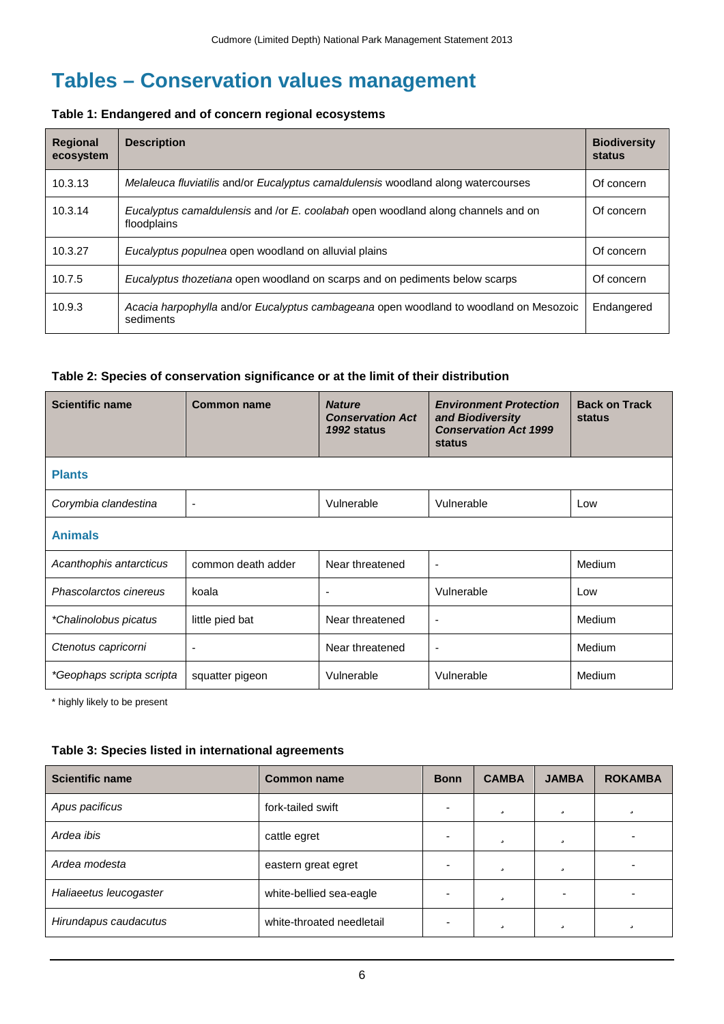# **Tables – Conservation values management**

#### **Table 1: Endangered and of concern regional ecosystems**

| <b>Regional</b><br>ecosystem | <b>Description</b>                                                                                 | <b>Biodiversity</b><br>status |
|------------------------------|----------------------------------------------------------------------------------------------------|-------------------------------|
| 10.3.13                      | Melaleuca fluviatilis and/or Eucalyptus camaldulensis woodland along watercourses                  | Of concern                    |
| 10.3.14                      | Eucalyptus camaldulensis and /or E. coolabah open woodland along channels and on<br>floodplains    | Of concern                    |
| 10.3.27                      | Eucalyptus populnea open woodland on alluvial plains                                               | Of concern                    |
| 10.7.5                       | Eucalyptus thozetiana open woodland on scarps and on pediments below scarps                        | Of concern                    |
| 10.9.3                       | Acacia harpophylla and/or Eucalyptus cambageana open woodland to woodland on Mesozoic<br>sediments | Endangered                    |

#### **Table 2: Species of conservation significance or at the limit of their distribution**

| <b>Scientific name</b>    | <b>Common name</b> | <b>Nature</b><br><b>Conservation Act</b><br>1992 status | <b>Environment Protection</b><br>and Biodiversity<br><b>Conservation Act 1999</b><br>status | <b>Back on Track</b><br><b>status</b> |  |  |  |
|---------------------------|--------------------|---------------------------------------------------------|---------------------------------------------------------------------------------------------|---------------------------------------|--|--|--|
| <b>Plants</b>             |                    |                                                         |                                                                                             |                                       |  |  |  |
| Corymbia clandestina      | ÷                  | Vulnerable                                              | Vulnerable                                                                                  | Low                                   |  |  |  |
| <b>Animals</b>            |                    |                                                         |                                                                                             |                                       |  |  |  |
| Acanthophis antarcticus   | common death adder | Near threatened                                         | $\overline{\phantom{a}}$                                                                    | <b>Medium</b>                         |  |  |  |
| Phascolarctos cinereus    | koala              |                                                         | Vulnerable                                                                                  | Low                                   |  |  |  |
| *Chalinolobus picatus     | little pied bat    | Near threatened                                         | $\overline{\phantom{a}}$                                                                    | Medium                                |  |  |  |
| Ctenotus capricorni       |                    | Near threatened                                         | $\overline{\phantom{a}}$                                                                    | Medium                                |  |  |  |
| *Geophaps scripta scripta | squatter pigeon    | Vulnerable                                              | Vulnerable                                                                                  | Medium                                |  |  |  |

\* highly likely to be present

#### **Table 3: Species listed in international agreements**

| <b>Scientific name</b> | <b>Common name</b>            | <b>Bonn</b> | <b>CAMBA</b> | <b>JAMBA</b> | <b>ROKAMBA</b> |
|------------------------|-------------------------------|-------------|--------------|--------------|----------------|
| Apus pacificus         | ü<br>ü<br>fork-tailed swift   |             | ü            |              |                |
| Ardea ibis             | ü<br>ü<br>cattle egret        |             |              |              |                |
| Ardea modesta          | ü<br>ü<br>eastern great egret |             |              |              |                |
| Haliaeetus leucogaster | white-bellied sea-eagle       |             | ü            |              |                |
| Hirundapus caudacutus  | white-throated needletail     |             | ü            | ü            | ü              |